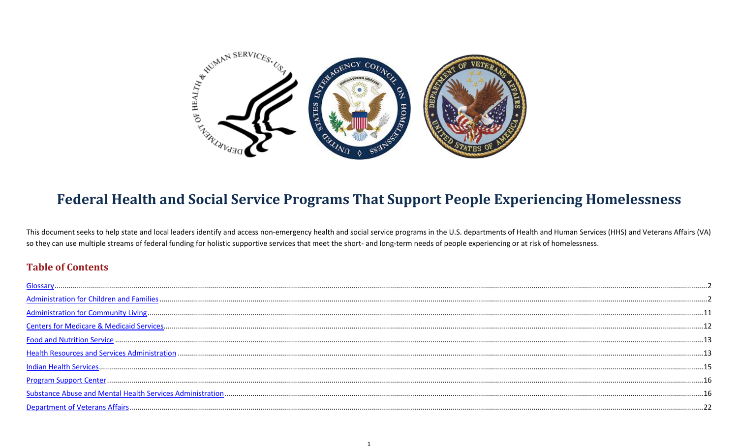<span id="page-0-0"></span>

# **Federal Health and Social Service Programs That Support People Experiencing Homelessness**

This document seeks to help state and local leaders identify and access non-emergency health and social service programs in the U.S. departments of Health and Human Services (HHS) and Veterans Affairs (VA) so they can use multiple streams of federal funding for holistic supportive services that meet the short- and long-term needs of people experiencing or at risk of homelessness.

# **Table of Contents**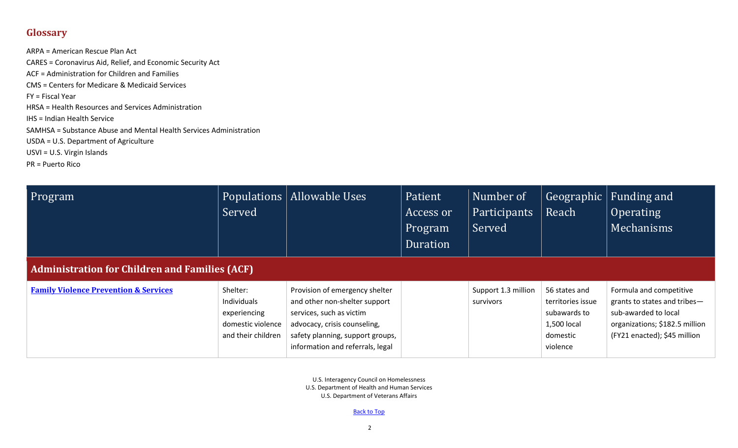# <span id="page-1-0"></span>**Glossary**

ARPA = American Rescue Plan Act CARES = Coronavirus Aid, Relief, and Economic Security Act ACF = Administration for Children and Families CMS = Centers for Medicare & Medicaid Services FY = Fiscal Year HRSA = Health Resources and Services Administration IHS = Indian Health Service SAMHSA = Substance Abuse and Mental Health Services Administration USDA = U.S. Department of Agriculture USVI = U.S. Virgin Islands PR = Puerto Rico

<span id="page-1-1"></span>

| Program                                               | Served                                                                             | Populations   Allowable Uses                                                                                                                                                                        | Patient<br>Access or<br><b>Program</b><br>Duration | Number of<br><b>Participants</b><br>Served | Reach                                                                                     | Geographic   Funding and<br><b>Operating</b><br>Mechanisms                                                                                        |
|-------------------------------------------------------|------------------------------------------------------------------------------------|-----------------------------------------------------------------------------------------------------------------------------------------------------------------------------------------------------|----------------------------------------------------|--------------------------------------------|-------------------------------------------------------------------------------------------|---------------------------------------------------------------------------------------------------------------------------------------------------|
| <b>Administration for Children and Families (ACF)</b> |                                                                                    |                                                                                                                                                                                                     |                                                    |                                            |                                                                                           |                                                                                                                                                   |
| <b>Family Violence Prevention &amp; Services</b>      | Shelter:<br>Individuals<br>experiencing<br>domestic violence<br>and their children | Provision of emergency shelter<br>and other non-shelter support<br>services, such as victim<br>advocacy, crisis counseling,<br>safety planning, support groups,<br>information and referrals, legal |                                                    | Support 1.3 million<br>survivors           | 56 states and<br>territories issue<br>subawards to<br>1,500 local<br>domestic<br>violence | Formula and competitive<br>grants to states and tribes-<br>sub-awarded to local<br>organizations; \$182.5 million<br>(FY21 enacted); \$45 million |

U.S. Interagency Council on Homelessness U.S. Department of Health and Human Services U.S. Department of Veterans Affairs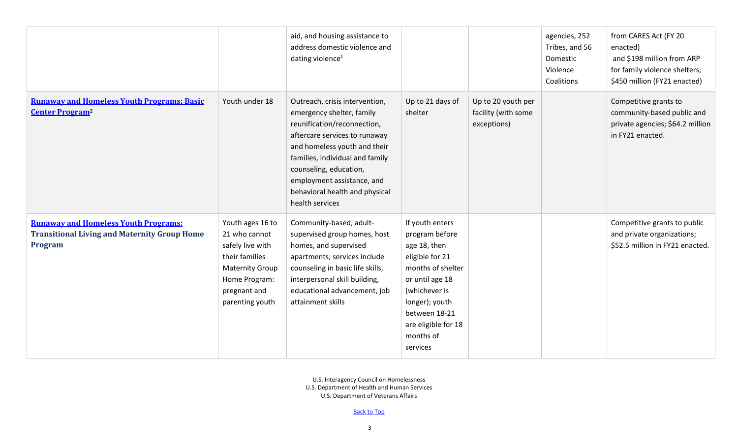|                                                                                                               |                                                                                                                                                       | aid, and housing assistance to<br>address domestic violence and<br>dating violence <sup>1</sup>                                                                                                                                                                                                             |                                                                                                                                                                                                                  |                                                          | agencies, 252<br>Tribes, and 56<br>Domestic<br>Violence<br>Coalitions | from CARES Act (FY 20<br>enacted)<br>and \$198 million from ARP<br>for family violence shelters;<br>\$450 million (FY21 enacted) |
|---------------------------------------------------------------------------------------------------------------|-------------------------------------------------------------------------------------------------------------------------------------------------------|-------------------------------------------------------------------------------------------------------------------------------------------------------------------------------------------------------------------------------------------------------------------------------------------------------------|------------------------------------------------------------------------------------------------------------------------------------------------------------------------------------------------------------------|----------------------------------------------------------|-----------------------------------------------------------------------|----------------------------------------------------------------------------------------------------------------------------------|
| <b>Runaway and Homeless Youth Programs: Basic</b><br><b>Center Program<sup>2</sup></b>                        | Youth under 18                                                                                                                                        | Outreach, crisis intervention,<br>emergency shelter, family<br>reunification/reconnection,<br>aftercare services to runaway<br>and homeless youth and their<br>families, individual and family<br>counseling, education,<br>employment assistance, and<br>behavioral health and physical<br>health services | Up to 21 days of<br>shelter                                                                                                                                                                                      | Up to 20 youth per<br>facility (with some<br>exceptions) |                                                                       | Competitive grants to<br>community-based public and<br>private agencies; \$64.2 million<br>in FY21 enacted.                      |
| <b>Runaway and Homeless Youth Programs:</b><br><b>Transitional Living and Maternity Group Home</b><br>Program | Youth ages 16 to<br>21 who cannot<br>safely live with<br>their families<br><b>Maternity Group</b><br>Home Program:<br>pregnant and<br>parenting youth | Community-based, adult-<br>supervised group homes, host<br>homes, and supervised<br>apartments; services include<br>counseling in basic life skills,<br>interpersonal skill building,<br>educational advancement, job<br>attainment skills                                                                  | If youth enters<br>program before<br>age 18, then<br>eligible for 21<br>months of shelter<br>or until age 18<br>(whichever is<br>longer); youth<br>between 18-21<br>are eligible for 18<br>months of<br>services |                                                          |                                                                       | Competitive grants to public<br>and private organizations;<br>\$52.5 million in FY21 enacted.                                    |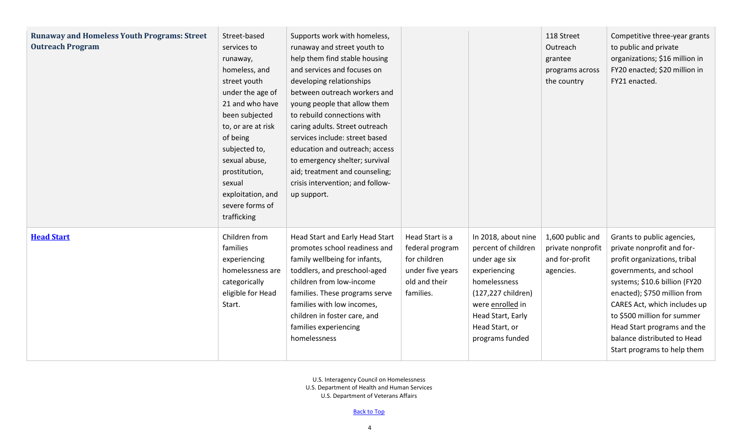| <b>Runaway and Homeless Youth Programs: Street</b><br><b>Outreach Program</b> | Street-based<br>services to<br>runaway,<br>homeless, and<br>street youth<br>under the age of<br>21 and who have<br>been subjected<br>to, or are at risk<br>of being<br>subjected to,<br>sexual abuse,<br>prostitution,<br>sexual<br>exploitation, and<br>severe forms of<br>trafficking | Supports work with homeless,<br>runaway and street youth to<br>help them find stable housing<br>and services and focuses on<br>developing relationships<br>between outreach workers and<br>young people that allow them<br>to rebuild connections with<br>caring adults. Street outreach<br>services include: street based<br>education and outreach; access<br>to emergency shelter; survival<br>aid; treatment and counseling;<br>crisis intervention; and follow-<br>up support. |                                                                                                      |                                                                                                                                                                                                 | 118 Street<br>Outreach<br>grantee<br>programs across<br>the country  | Competitive three-year grants<br>to public and private<br>organizations; \$16 million in<br>FY20 enacted; \$20 million in<br>FY21 enacted.                                                                                                                                                                                                       |
|-------------------------------------------------------------------------------|-----------------------------------------------------------------------------------------------------------------------------------------------------------------------------------------------------------------------------------------------------------------------------------------|-------------------------------------------------------------------------------------------------------------------------------------------------------------------------------------------------------------------------------------------------------------------------------------------------------------------------------------------------------------------------------------------------------------------------------------------------------------------------------------|------------------------------------------------------------------------------------------------------|-------------------------------------------------------------------------------------------------------------------------------------------------------------------------------------------------|----------------------------------------------------------------------|--------------------------------------------------------------------------------------------------------------------------------------------------------------------------------------------------------------------------------------------------------------------------------------------------------------------------------------------------|
| <b>Head Start</b>                                                             | Children from<br>families<br>experiencing<br>homelessness are<br>categorically<br>eligible for Head<br>Start.                                                                                                                                                                           | Head Start and Early Head Start<br>promotes school readiness and<br>family wellbeing for infants,<br>toddlers, and preschool-aged<br>children from low-income<br>families. These programs serve<br>families with low incomes,<br>children in foster care, and<br>families experiencing<br>homelessness                                                                                                                                                                              | Head Start is a<br>federal program<br>for children<br>under five years<br>old and their<br>families. | In 2018, about nine<br>percent of children<br>under age six<br>experiencing<br>homelessness<br>(127,227 children)<br>were enrolled in<br>Head Start, Early<br>Head Start, or<br>programs funded | 1,600 public and<br>private nonprofit<br>and for-profit<br>agencies. | Grants to public agencies,<br>private nonprofit and for-<br>profit organizations, tribal<br>governments, and school<br>systems; \$10.6 billion (FY20<br>enacted); \$750 million from<br>CARES Act, which includes up<br>to \$500 million for summer<br>Head Start programs and the<br>balance distributed to Head<br>Start programs to help them |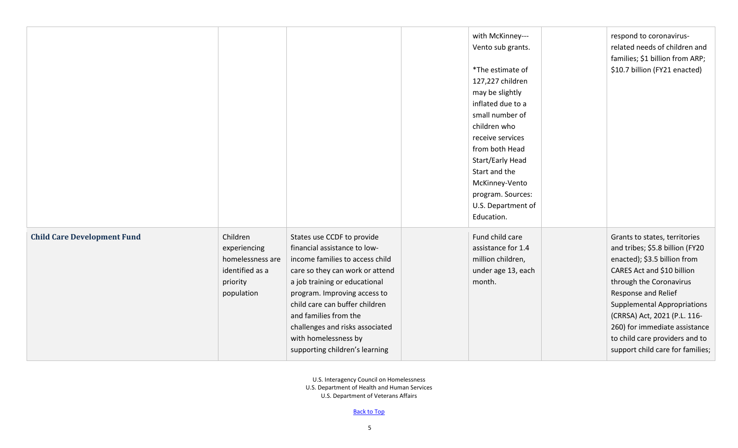|                                    |                                                                                           |                                                                                                                                                                                                                                                                                                                                                           | with McKinney---<br>Vento sub grants.<br>*The estimate of<br>127,227 children<br>may be slightly<br>inflated due to a<br>small number of<br>children who<br>receive services<br>from both Head<br>Start/Early Head<br>Start and the<br>McKinney-Vento<br>program. Sources:<br>U.S. Department of<br>Education. | respond to coronavirus-<br>related needs of children and<br>families; \$1 billion from ARP;<br>\$10.7 billion (FY21 enacted)                                                                                                                                                                                                                                  |
|------------------------------------|-------------------------------------------------------------------------------------------|-----------------------------------------------------------------------------------------------------------------------------------------------------------------------------------------------------------------------------------------------------------------------------------------------------------------------------------------------------------|----------------------------------------------------------------------------------------------------------------------------------------------------------------------------------------------------------------------------------------------------------------------------------------------------------------|---------------------------------------------------------------------------------------------------------------------------------------------------------------------------------------------------------------------------------------------------------------------------------------------------------------------------------------------------------------|
| <b>Child Care Development Fund</b> | Children<br>experiencing<br>homelessness are<br>identified as a<br>priority<br>population | States use CCDF to provide<br>financial assistance to low-<br>income families to access child<br>care so they can work or attend<br>a job training or educational<br>program. Improving access to<br>child care can buffer children<br>and families from the<br>challenges and risks associated<br>with homelessness by<br>supporting children's learning | Fund child care<br>assistance for 1.4<br>million children,<br>under age 13, each<br>month.                                                                                                                                                                                                                     | Grants to states, territories<br>and tribes; \$5.8 billion (FY20<br>enacted); \$3.5 billion from<br>CARES Act and \$10 billion<br>through the Coronavirus<br>Response and Relief<br><b>Supplemental Appropriations</b><br>(CRRSA) Act, 2021 (P.L. 116-<br>260) for immediate assistance<br>to child care providers and to<br>support child care for families; |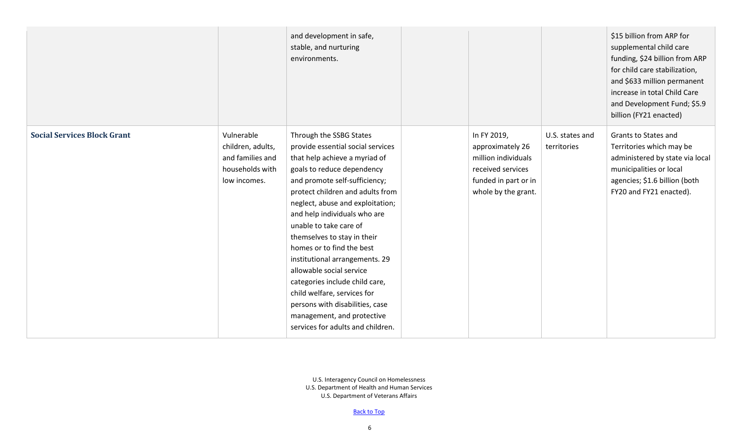|                                    |                                                                                        | and development in safe,<br>stable, and nurturing<br>environments.                                                                                                                                                                                                                                                                                                                                                                                                                                                                                                                              |                                                                                                                            |                                | \$15 billion from ARP for<br>supplemental child care<br>funding, \$24 billion from ARP<br>for child care stabilization,<br>and \$633 million permanent<br>increase in total Child Care<br>and Development Fund; \$5.9<br>billion (FY21 enacted) |
|------------------------------------|----------------------------------------------------------------------------------------|-------------------------------------------------------------------------------------------------------------------------------------------------------------------------------------------------------------------------------------------------------------------------------------------------------------------------------------------------------------------------------------------------------------------------------------------------------------------------------------------------------------------------------------------------------------------------------------------------|----------------------------------------------------------------------------------------------------------------------------|--------------------------------|-------------------------------------------------------------------------------------------------------------------------------------------------------------------------------------------------------------------------------------------------|
| <b>Social Services Block Grant</b> | Vulnerable<br>children, adults,<br>and families and<br>households with<br>low incomes. | Through the SSBG States<br>provide essential social services<br>that help achieve a myriad of<br>goals to reduce dependency<br>and promote self-sufficiency;<br>protect children and adults from<br>neglect, abuse and exploitation;<br>and help individuals who are<br>unable to take care of<br>themselves to stay in their<br>homes or to find the best<br>institutional arrangements. 29<br>allowable social service<br>categories include child care,<br>child welfare, services for<br>persons with disabilities, case<br>management, and protective<br>services for adults and children. | In FY 2019,<br>approximately 26<br>million individuals<br>received services<br>funded in part or in<br>whole by the grant. | U.S. states and<br>territories | <b>Grants to States and</b><br>Territories which may be<br>administered by state via local<br>municipalities or local<br>agencies; \$1.6 billion (both<br>FY20 and FY21 enacted).                                                               |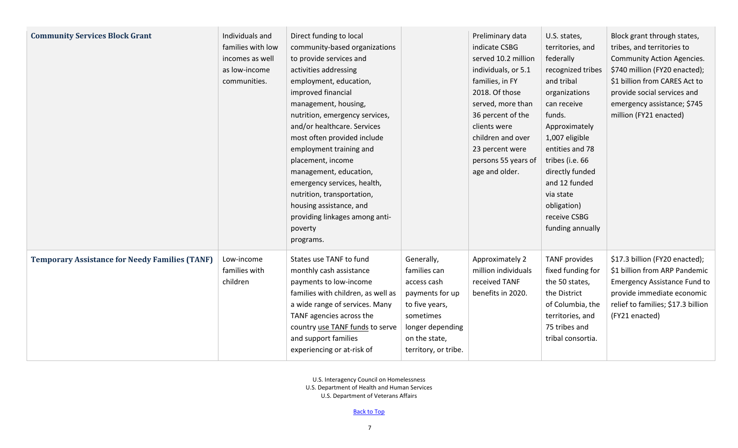| <b>Community Services Block Grant</b>                 | Individuals and<br>families with low<br>incomes as well<br>as low-income<br>communities. | Direct funding to local<br>community-based organizations<br>to provide services and<br>activities addressing<br>employment, education,<br>improved financial<br>management, housing,<br>nutrition, emergency services,<br>and/or healthcare. Services<br>most often provided include<br>employment training and<br>placement, income<br>management, education,<br>emergency services, health,<br>nutrition, transportation,<br>housing assistance, and<br>providing linkages among anti-<br>poverty<br>programs. |                                                                                                                                                          | Preliminary data<br>indicate CSBG<br>served 10.2 million<br>individuals, or 5.1<br>families, in FY<br>2018. Of those<br>served, more than<br>36 percent of the<br>clients were<br>children and over<br>23 percent were<br>persons 55 years of<br>age and older. | U.S. states,<br>territories, and<br>federally<br>recognized tribes<br>and tribal<br>organizations<br>can receive<br>funds.<br>Approximately<br>1,007 eligible<br>entities and 78<br>tribes (i.e. 66<br>directly funded<br>and 12 funded<br>via state<br>obligation)<br>receive CSBG<br>funding annually | Block grant through states,<br>tribes, and territories to<br><b>Community Action Agencies.</b><br>\$740 million (FY20 enacted);<br>\$1 billion from CARES Act to<br>provide social services and<br>emergency assistance; \$745<br>million (FY21 enacted) |
|-------------------------------------------------------|------------------------------------------------------------------------------------------|------------------------------------------------------------------------------------------------------------------------------------------------------------------------------------------------------------------------------------------------------------------------------------------------------------------------------------------------------------------------------------------------------------------------------------------------------------------------------------------------------------------|----------------------------------------------------------------------------------------------------------------------------------------------------------|-----------------------------------------------------------------------------------------------------------------------------------------------------------------------------------------------------------------------------------------------------------------|---------------------------------------------------------------------------------------------------------------------------------------------------------------------------------------------------------------------------------------------------------------------------------------------------------|----------------------------------------------------------------------------------------------------------------------------------------------------------------------------------------------------------------------------------------------------------|
| <b>Temporary Assistance for Needy Families (TANF)</b> | Low-income<br>families with<br>children                                                  | States use TANF to fund<br>monthly cash assistance<br>payments to low-income<br>families with children, as well as<br>a wide range of services. Many<br>TANF agencies across the<br>country use TANF funds to serve<br>and support families<br>experiencing or at-risk of                                                                                                                                                                                                                                        | Generally,<br>families can<br>access cash<br>payments for up<br>to five years,<br>sometimes<br>longer depending<br>on the state,<br>territory, or tribe. | Approximately 2<br>million individuals<br>received TANF<br>benefits in 2020.                                                                                                                                                                                    | <b>TANF</b> provides<br>fixed funding for<br>the 50 states,<br>the District<br>of Columbia, the<br>territories, and<br>75 tribes and<br>tribal consortia.                                                                                                                                               | \$17.3 billion (FY20 enacted);<br>\$1 billion from ARP Pandemic<br><b>Emergency Assistance Fund to</b><br>provide immediate economic<br>relief to families; \$17.3 billion<br>(FY21 enacted)                                                             |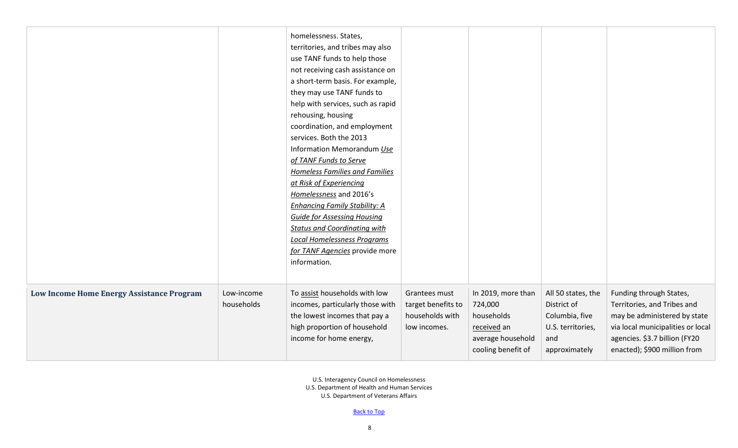|                                           |                          | homelessness. States,<br>territories, and tribes may also<br>use TANF funds to help those<br>not receiving cash assistance on<br>a short-term basis. For example,<br>they may use TANF funds to<br>help with services, such as rapid<br>rehousing, housing<br>coordination, and employment<br>services. Both the 2013<br>Information Memorandum Use<br>of TANF Funds to Serve<br><b>Homeless Families and Families</b><br>at Risk of Experiencing<br>Homelessness and 2016's<br><b>Enhancing Family Stability: A</b><br><b>Guide for Assessing Housing</b><br><b>Status and Coordinating with</b><br><b>Local Homelessness Programs</b><br>for TANF Agencies provide more<br>information. |                                                                        |                                                                                                       |                                                                                                  |                                                                                                                                                                                              |
|-------------------------------------------|--------------------------|-------------------------------------------------------------------------------------------------------------------------------------------------------------------------------------------------------------------------------------------------------------------------------------------------------------------------------------------------------------------------------------------------------------------------------------------------------------------------------------------------------------------------------------------------------------------------------------------------------------------------------------------------------------------------------------------|------------------------------------------------------------------------|-------------------------------------------------------------------------------------------------------|--------------------------------------------------------------------------------------------------|----------------------------------------------------------------------------------------------------------------------------------------------------------------------------------------------|
| Low Income Home Energy Assistance Program | Low-income<br>households | To assist households with low<br>incomes, particularly those with<br>the lowest incomes that pay a<br>high proportion of household<br>income for home energy,                                                                                                                                                                                                                                                                                                                                                                                                                                                                                                                             | Grantees must<br>target benefits to<br>households with<br>low incomes. | In 2019, more than<br>724,000<br>households<br>received an<br>average household<br>cooling benefit of | All 50 states, the<br>District of<br>Columbia, five<br>U.S. territories,<br>and<br>approximately | Funding through States,<br>Territories, and Tribes and<br>may be administered by state<br>via local municipalities or local<br>agencies. \$3.7 billion (FY20<br>enacted); \$900 million from |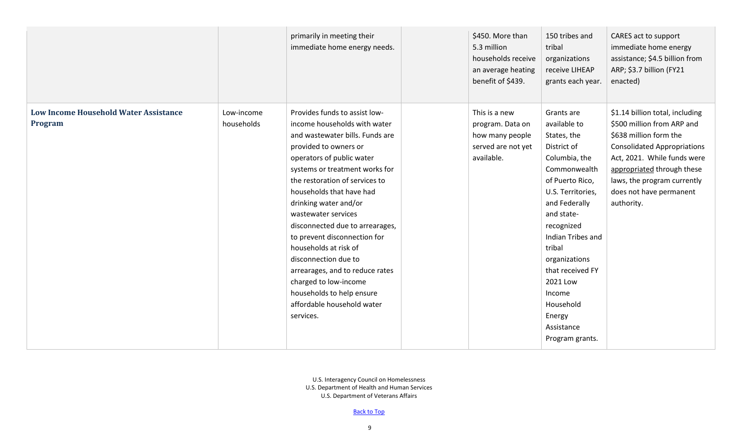|                                              |            | primarily in meeting their<br>immediate home energy needs. | \$450. More than<br>5.3 million<br>households receive<br>an average heating<br>benefit of \$439. | 150 tribes and<br>tribal<br>organizations<br>receive LIHEAP<br>grants each year. | CARES act to support<br>immediate home energy<br>assistance; \$4.5 billion from<br>ARP; \$3.7 billion (FY21<br>enacted) |
|----------------------------------------------|------------|------------------------------------------------------------|--------------------------------------------------------------------------------------------------|----------------------------------------------------------------------------------|-------------------------------------------------------------------------------------------------------------------------|
| <b>Low Income Household Water Assistance</b> | Low-income | Provides funds to assist low-                              | This is a new                                                                                    | Grants are                                                                       | \$1.14 billion total, including                                                                                         |
| Program                                      | households | income households with water                               | program. Data on                                                                                 | available to                                                                     | \$500 million from ARP and                                                                                              |
|                                              |            | and wastewater bills. Funds are                            | how many people                                                                                  | States, the                                                                      | \$638 million form the                                                                                                  |
|                                              |            | provided to owners or                                      | served are not yet                                                                               | District of                                                                      | <b>Consolidated Appropriations</b>                                                                                      |
|                                              |            | operators of public water                                  | available.                                                                                       | Columbia, the                                                                    | Act, 2021. While funds were                                                                                             |
|                                              |            | systems or treatment works for                             |                                                                                                  | Commonwealth                                                                     | appropriated through these                                                                                              |
|                                              |            | the restoration of services to                             |                                                                                                  | of Puerto Rico,                                                                  | laws, the program currently                                                                                             |
|                                              |            | households that have had                                   |                                                                                                  | U.S. Territories,                                                                | does not have permanent                                                                                                 |
|                                              |            | drinking water and/or                                      |                                                                                                  | and Federally                                                                    | authority.                                                                                                              |
|                                              |            | wastewater services                                        |                                                                                                  | and state-                                                                       |                                                                                                                         |
|                                              |            | disconnected due to arrearages,                            |                                                                                                  | recognized                                                                       |                                                                                                                         |
|                                              |            | to prevent disconnection for                               |                                                                                                  | Indian Tribes and                                                                |                                                                                                                         |
|                                              |            | households at risk of                                      |                                                                                                  | tribal                                                                           |                                                                                                                         |
|                                              |            | disconnection due to                                       |                                                                                                  | organizations                                                                    |                                                                                                                         |
|                                              |            | arrearages, and to reduce rates                            |                                                                                                  | that received FY                                                                 |                                                                                                                         |
|                                              |            | charged to low-income                                      |                                                                                                  | 2021 Low                                                                         |                                                                                                                         |
|                                              |            | households to help ensure                                  |                                                                                                  | Income                                                                           |                                                                                                                         |
|                                              |            | affordable household water                                 |                                                                                                  | Household                                                                        |                                                                                                                         |
|                                              |            | services.                                                  |                                                                                                  | Energy                                                                           |                                                                                                                         |
|                                              |            |                                                            |                                                                                                  | Assistance                                                                       |                                                                                                                         |
|                                              |            |                                                            |                                                                                                  | Program grants.                                                                  |                                                                                                                         |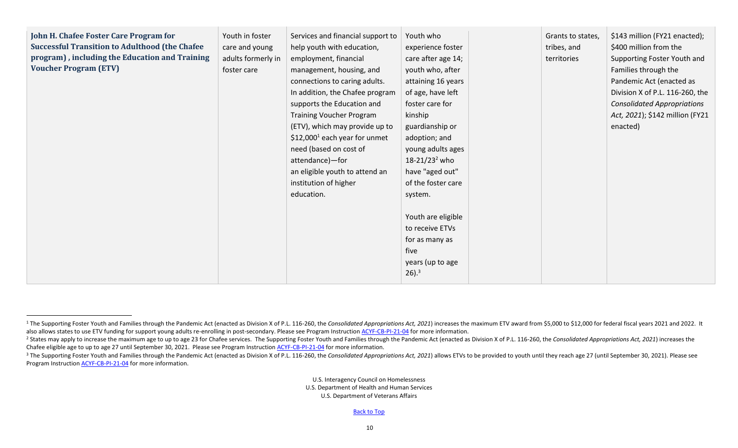| John H. Chafee Foster Care Program for<br><b>Successful Transition to Adulthood (the Chafee)</b><br>program), including the Education and Training<br><b>Voucher Program (ETV)</b> | Youth in foster<br>care and young<br>adults formerly in<br>foster care | Services and financial support to<br>help youth with education,<br>employment, financial<br>management, housing, and<br>connections to caring adults.<br>In addition, the Chafee program<br>supports the Education and<br><b>Training Voucher Program</b><br>(ETV), which may provide up to<br>\$12,000 <sup>1</sup> each year for unmet<br>need (based on cost of<br>attendance)-for<br>an eligible youth to attend an | Youth who<br>experience foster<br>care after age 14;<br>youth who, after<br>attaining 16 years<br>of age, have left<br>foster care for<br>kinship<br>guardianship or<br>adoption; and<br>young adults ages<br>18-21/23 <sup>2</sup> who<br>have "aged out" | Grants to states,<br>tribes, and<br>territories | \$143 million (FY21 enacted);<br>\$400 million from the<br>Supporting Foster Youth and<br>Families through the<br>Pandemic Act (enacted as<br>Division X of P.L. 116-260, the<br><b>Consolidated Appropriations</b><br>Act, 2021); \$142 million (FY21<br>enacted) |
|------------------------------------------------------------------------------------------------------------------------------------------------------------------------------------|------------------------------------------------------------------------|-------------------------------------------------------------------------------------------------------------------------------------------------------------------------------------------------------------------------------------------------------------------------------------------------------------------------------------------------------------------------------------------------------------------------|------------------------------------------------------------------------------------------------------------------------------------------------------------------------------------------------------------------------------------------------------------|-------------------------------------------------|--------------------------------------------------------------------------------------------------------------------------------------------------------------------------------------------------------------------------------------------------------------------|
|                                                                                                                                                                                    |                                                                        | institution of higher<br>education.                                                                                                                                                                                                                                                                                                                                                                                     | of the foster care<br>system.<br>Youth are eligible<br>to receive ETVs<br>for as many as<br>five<br>years (up to age<br>$26$ ). <sup>3</sup>                                                                                                               |                                                 |                                                                                                                                                                                                                                                                    |

<sup>&</sup>lt;sup>1</sup> The Supporting Foster Youth and Families through the Pandemic Act (enacted as Division X of P.L. 116-260, the Consolidated Appropriations Act, 2021) increases the maximum ETV award from \$5,000 to \$12,000 for federal fi also allows states to use ETV funding for support young adults re-enrolling in post-secondary. Please see Program Instruction [ACYF-CB-PI-21-04](https://www.acf.hhs.gov/sites/default/files/documents/cb/pi2104.pdf) for more information.

<sup>&</sup>lt;sup>2</sup> States may apply to increase the maximum age to up to age 23 for Chafee services. The Supporting Foster Youth and Families through the Pandemic Act (enacted as Division X of P.L. 116-260, the Consolidated Appropriation Chafee eligible age to up to age 27 until September 30, 2021. Please see Program Instructio[n ACYF-CB-PI-21-04](https://www.acf.hhs.gov/sites/default/files/documents/cb/pi2104.pdf) for more information.

<sup>&</sup>lt;sup>3</sup> The Supporting Foster Youth and Families through the Pandemic Act (enacted as Division X of P.L. 116-260, the Consolidated Appropriations Act, 2021) allows ETVs to be provided to youth until they reach age 27 (until Se Program Instructio[n ACYF-CB-PI-21-04](https://www.acf.hhs.gov/sites/default/files/documents/cb/pi2104.pdf) for more information.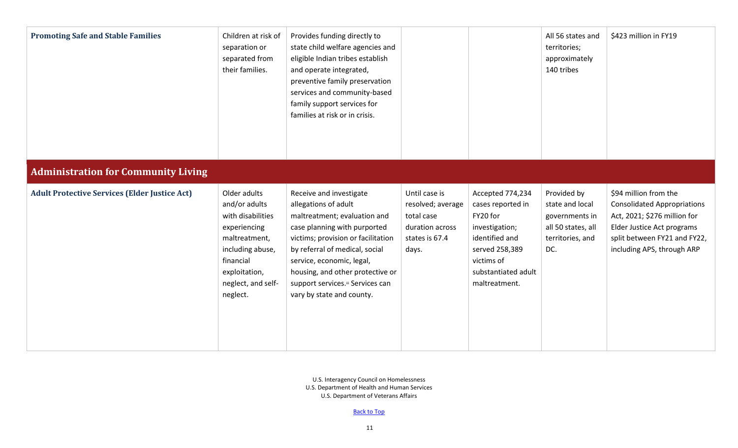<span id="page-10-0"></span>

| <b>Promoting Safe and Stable Families</b>            | Children at risk of<br>separation or<br>separated from<br>their families.                                                                                               | Provides funding directly to<br>state child welfare agencies and<br>eligible Indian tribes establish<br>and operate integrated,<br>preventive family preservation<br>services and community-based<br>family support services for<br>families at risk or in crisis.                                                         |                                                                                                |                                                                                                                                                               | All 56 states and<br>territories;<br>approximately<br>140 tribes                                  | \$423 million in FY19                                                                                                                                                                   |
|------------------------------------------------------|-------------------------------------------------------------------------------------------------------------------------------------------------------------------------|----------------------------------------------------------------------------------------------------------------------------------------------------------------------------------------------------------------------------------------------------------------------------------------------------------------------------|------------------------------------------------------------------------------------------------|---------------------------------------------------------------------------------------------------------------------------------------------------------------|---------------------------------------------------------------------------------------------------|-----------------------------------------------------------------------------------------------------------------------------------------------------------------------------------------|
| <b>Administration for Community Living</b>           |                                                                                                                                                                         |                                                                                                                                                                                                                                                                                                                            |                                                                                                |                                                                                                                                                               |                                                                                                   |                                                                                                                                                                                         |
| <b>Adult Protective Services (Elder Justice Act)</b> | Older adults<br>and/or adults<br>with disabilities<br>experiencing<br>maltreatment,<br>including abuse,<br>financial<br>exploitation,<br>neglect, and self-<br>neglect. | Receive and investigate<br>allegations of adult<br>maltreatment; evaluation and<br>case planning with purported<br>victims; provision or facilitation<br>by referral of medical, social<br>service, economic, legal,<br>housing, and other protective or<br>support services.iii Services can<br>vary by state and county. | Until case is<br>resolved; average<br>total case<br>duration across<br>states is 67.4<br>days. | Accepted 774,234<br>cases reported in<br>FY20 for<br>investigation;<br>identified and<br>served 258,389<br>victims of<br>substantiated adult<br>maltreatment. | Provided by<br>state and local<br>governments in<br>all 50 states, all<br>territories, and<br>DC. | \$94 million from the<br><b>Consolidated Appropriations</b><br>Act, 2021; \$276 million for<br>Elder Justice Act programs<br>split between FY21 and FY22,<br>including APS, through ARP |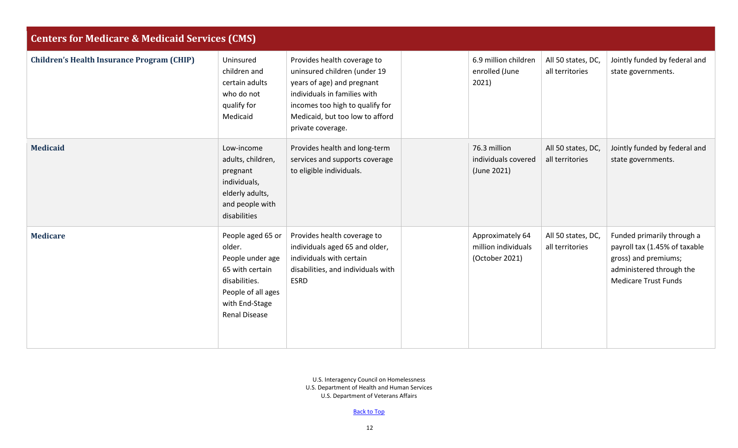<span id="page-11-0"></span>

| <b>Centers for Medicare &amp; Medicaid Services (CMS)</b> |                                                                                                                                                     |                                                                                                                                                                                                                      |  |                                                           |                                       |                                                                                                                                                |  |  |
|-----------------------------------------------------------|-----------------------------------------------------------------------------------------------------------------------------------------------------|----------------------------------------------------------------------------------------------------------------------------------------------------------------------------------------------------------------------|--|-----------------------------------------------------------|---------------------------------------|------------------------------------------------------------------------------------------------------------------------------------------------|--|--|
| <b>Children's Health Insurance Program (CHIP)</b>         | Uninsured<br>children and<br>certain adults<br>who do not<br>qualify for<br>Medicaid                                                                | Provides health coverage to<br>uninsured children (under 19<br>years of age) and pregnant<br>individuals in families with<br>incomes too high to qualify for<br>Medicaid, but too low to afford<br>private coverage. |  | 6.9 million children<br>enrolled (June<br>2021)           | All 50 states, DC,<br>all territories | Jointly funded by federal and<br>state governments.                                                                                            |  |  |
| <b>Medicaid</b>                                           | Low-income<br>adults, children,<br>pregnant<br>individuals,<br>elderly adults,<br>and people with<br>disabilities                                   | Provides health and long-term<br>services and supports coverage<br>to eligible individuals.                                                                                                                          |  | 76.3 million<br>individuals covered<br>(June 2021)        | All 50 states, DC,<br>all territories | Jointly funded by federal and<br>state governments.                                                                                            |  |  |
| <b>Medicare</b>                                           | People aged 65 or<br>older.<br>People under age<br>65 with certain<br>disabilities.<br>People of all ages<br>with End-Stage<br><b>Renal Disease</b> | Provides health coverage to<br>individuals aged 65 and older,<br>individuals with certain<br>disabilities, and individuals with<br><b>ESRD</b>                                                                       |  | Approximately 64<br>million individuals<br>(October 2021) | All 50 states, DC,<br>all territories | Funded primarily through a<br>payroll tax (1.45% of taxable<br>gross) and premiums;<br>administered through the<br><b>Medicare Trust Funds</b> |  |  |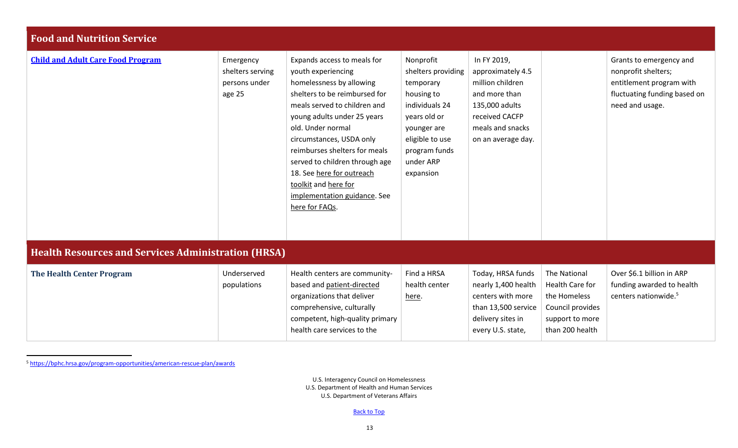<span id="page-12-0"></span>

| <b>Food and Nutrition Service</b>                          |                                                          |                                                                                                                                                                                                                                                                                                                                                                                                          |                                                                                                                                                                           |                                                                                                                                                     |                                                                                                           |                                                                                                                               |
|------------------------------------------------------------|----------------------------------------------------------|----------------------------------------------------------------------------------------------------------------------------------------------------------------------------------------------------------------------------------------------------------------------------------------------------------------------------------------------------------------------------------------------------------|---------------------------------------------------------------------------------------------------------------------------------------------------------------------------|-----------------------------------------------------------------------------------------------------------------------------------------------------|-----------------------------------------------------------------------------------------------------------|-------------------------------------------------------------------------------------------------------------------------------|
| <b>Child and Adult Care Food Program</b>                   | Emergency<br>shelters serving<br>persons under<br>age 25 | Expands access to meals for<br>youth experiencing<br>homelessness by allowing<br>shelters to be reimbursed for<br>meals served to children and<br>young adults under 25 years<br>old. Under normal<br>circumstances, USDA only<br>reimburses shelters for meals<br>served to children through age<br>18. See here for outreach<br>toolkit and here for<br>implementation guidance. See<br>here for FAQs. | Nonprofit<br>shelters providing<br>temporary<br>housing to<br>individuals 24<br>years old or<br>younger are<br>eligible to use<br>program funds<br>under ARP<br>expansion | In FY 2019,<br>approximately 4.5<br>million children<br>and more than<br>135,000 adults<br>received CACFP<br>meals and snacks<br>on an average day. |                                                                                                           | Grants to emergency and<br>nonprofit shelters;<br>entitlement program with<br>fluctuating funding based on<br>need and usage. |
| <b>Health Resources and Services Administration (HRSA)</b> |                                                          |                                                                                                                                                                                                                                                                                                                                                                                                          |                                                                                                                                                                           |                                                                                                                                                     |                                                                                                           |                                                                                                                               |
| <b>The Health Center Program</b>                           | Underserved<br>populations                               | Health centers are community-<br>based and patient-directed<br>organizations that deliver<br>comprehensive, culturally<br>competent, high-quality primary<br>health care services to the                                                                                                                                                                                                                 | Find a HRSA<br>health center<br>here.                                                                                                                                     | Today, HRSA funds<br>nearly 1,400 health<br>centers with more<br>than 13,500 service<br>delivery sites in<br>every U.S. state,                      | The National<br>Health Care for<br>the Homeless<br>Council provides<br>support to more<br>than 200 health | Over \$6.1 billion in ARP<br>funding awarded to health<br>centers nationwide. <sup>5</sup>                                    |

<span id="page-12-1"></span><sup>5</sup> <https://bphc.hrsa.gov/program-opportunities/american-rescue-plan/awards>

U.S. Interagency Council on Homelessness U.S. Department of Health and Human Services U.S. Department of Veterans Affairs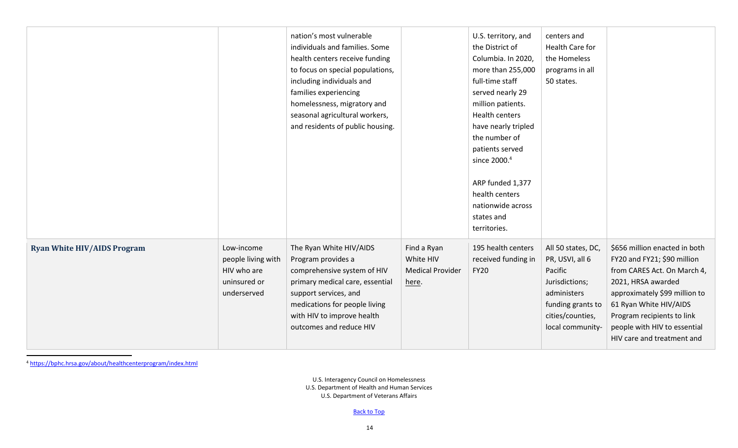|                                    |                                                                                | nation's most vulnerable<br>individuals and families. Some<br>health centers receive funding<br>to focus on special populations,<br>including individuals and<br>families experiencing<br>homelessness, migratory and<br>seasonal agricultural workers,<br>and residents of public housing. |                                                              | U.S. territory, and<br>the District of<br>Columbia. In 2020,<br>more than 255,000<br>full-time staff<br>served nearly 29<br>million patients.<br><b>Health centers</b><br>have nearly tripled<br>the number of<br>patients served<br>since 2000. <sup>4</sup><br>ARP funded 1,377<br>health centers<br>nationwide across<br>states and<br>territories. | centers and<br>Health Care for<br>the Homeless<br>programs in all<br>50 states.                                                                |                                                                                                                                                                                                                                                                          |
|------------------------------------|--------------------------------------------------------------------------------|---------------------------------------------------------------------------------------------------------------------------------------------------------------------------------------------------------------------------------------------------------------------------------------------|--------------------------------------------------------------|--------------------------------------------------------------------------------------------------------------------------------------------------------------------------------------------------------------------------------------------------------------------------------------------------------------------------------------------------------|------------------------------------------------------------------------------------------------------------------------------------------------|--------------------------------------------------------------------------------------------------------------------------------------------------------------------------------------------------------------------------------------------------------------------------|
| <b>Ryan White HIV/AIDS Program</b> | Low-income<br>people living with<br>HIV who are<br>uninsured or<br>underserved | The Ryan White HIV/AIDS<br>Program provides a<br>comprehensive system of HIV<br>primary medical care, essential<br>support services, and<br>medications for people living<br>with HIV to improve health<br>outcomes and reduce HIV                                                          | Find a Ryan<br>White HIV<br><b>Medical Provider</b><br>here. | 195 health centers<br>received funding in<br><b>FY20</b>                                                                                                                                                                                                                                                                                               | All 50 states, DC,<br>PR, USVI, all 6<br>Pacific<br>Jurisdictions;<br>administers<br>funding grants to<br>cities/counties,<br>local community- | \$656 million enacted in both<br>FY20 and FY21; \$90 million<br>from CARES Act. On March 4,<br>2021, HRSA awarded<br>approximately \$99 million to<br>61 Ryan White HIV/AIDS<br>Program recipients to link<br>people with HIV to essential<br>HIV care and treatment and |

<sup>4</sup> <https://bphc.hrsa.gov/about/healthcenterprogram/index.html>

U.S. Interagency Council on Homelessness U.S. Department of Health and Human Services U.S. Department of Veterans Affairs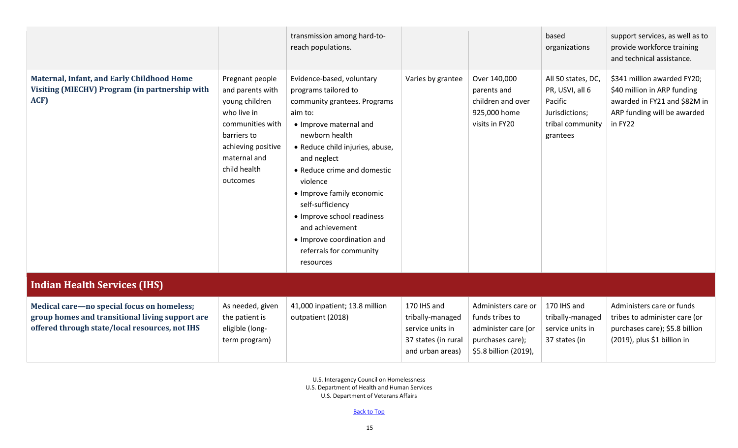<span id="page-14-0"></span>

|                                                                                                                                                 |                                                                                                                                                                           | transmission among hard-to-<br>reach populations.                                                                                                                                                                                                                                                                                                                                                             |                                                                                                |                                                                                                            | based<br>organizations                                                                             | support services, as well as to<br>provide workforce training<br>and technical assistance.                                           |
|-------------------------------------------------------------------------------------------------------------------------------------------------|---------------------------------------------------------------------------------------------------------------------------------------------------------------------------|---------------------------------------------------------------------------------------------------------------------------------------------------------------------------------------------------------------------------------------------------------------------------------------------------------------------------------------------------------------------------------------------------------------|------------------------------------------------------------------------------------------------|------------------------------------------------------------------------------------------------------------|----------------------------------------------------------------------------------------------------|--------------------------------------------------------------------------------------------------------------------------------------|
| Maternal, Infant, and Early Childhood Home<br>Visiting (MIECHV) Program (in partnership with<br>ACF)                                            | Pregnant people<br>and parents with<br>young children<br>who live in<br>communities with<br>barriers to<br>achieving positive<br>maternal and<br>child health<br>outcomes | Evidence-based, voluntary<br>programs tailored to<br>community grantees. Programs<br>aim to:<br>• Improve maternal and<br>newborn health<br>• Reduce child injuries, abuse,<br>and neglect<br>• Reduce crime and domestic<br>violence<br>• Improve family economic<br>self-sufficiency<br>• Improve school readiness<br>and achievement<br>• Improve coordination and<br>referrals for community<br>resources | Varies by grantee                                                                              | Over 140,000<br>parents and<br>children and over<br>925,000 home<br>visits in FY20                         | All 50 states, DC,<br>PR, USVI, all 6<br>Pacific<br>Jurisdictions;<br>tribal community<br>grantees | \$341 million awarded FY20;<br>\$40 million in ARP funding<br>awarded in FY21 and \$82M in<br>ARP funding will be awarded<br>in FY22 |
| <b>Indian Health Services (IHS)</b>                                                                                                             |                                                                                                                                                                           |                                                                                                                                                                                                                                                                                                                                                                                                               |                                                                                                |                                                                                                            |                                                                                                    |                                                                                                                                      |
| Medical care-no special focus on homeless;<br>group homes and transitional living support are<br>offered through state/local resources, not IHS | As needed, given<br>the patient is<br>eligible (long-<br>term program)                                                                                                    | 41,000 inpatient; 13.8 million<br>outpatient (2018)                                                                                                                                                                                                                                                                                                                                                           | 170 IHS and<br>tribally-managed<br>service units in<br>37 states (in rural<br>and urban areas) | Administers care or<br>funds tribes to<br>administer care (or<br>purchases care);<br>\$5.8 billion (2019), | 170 IHS and<br>tribally-managed<br>service units in<br>37 states (in                               | Administers care or funds<br>tribes to administer care (or<br>purchases care); \$5.8 billion<br>(2019), plus \$1 billion in          |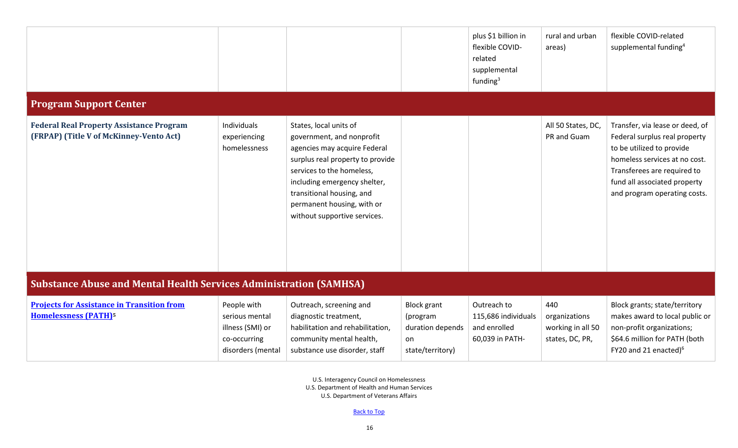<span id="page-15-1"></span><span id="page-15-0"></span>

|                                                                                             |                                                                                        |                                                                                                                                                                                                                                                                                 |                                                                              | plus \$1 billion in<br>flexible COVID-<br>related<br>supplemental<br>funding $3$ | rural and urban<br>areas)                                    | flexible COVID-related<br>supplemental funding <sup>4</sup>                                                                                                                                                                   |  |  |  |
|---------------------------------------------------------------------------------------------|----------------------------------------------------------------------------------------|---------------------------------------------------------------------------------------------------------------------------------------------------------------------------------------------------------------------------------------------------------------------------------|------------------------------------------------------------------------------|----------------------------------------------------------------------------------|--------------------------------------------------------------|-------------------------------------------------------------------------------------------------------------------------------------------------------------------------------------------------------------------------------|--|--|--|
| <b>Program Support Center</b>                                                               |                                                                                        |                                                                                                                                                                                                                                                                                 |                                                                              |                                                                                  |                                                              |                                                                                                                                                                                                                               |  |  |  |
| <b>Federal Real Property Assistance Program</b><br>(FRPAP) (Title V of McKinney-Vento Act)  | Individuals<br>experiencing<br>homelessness                                            | States, local units of<br>government, and nonprofit<br>agencies may acquire Federal<br>surplus real property to provide<br>services to the homeless,<br>including emergency shelter,<br>transitional housing, and<br>permanent housing, with or<br>without supportive services. |                                                                              |                                                                                  | All 50 States, DC,<br>PR and Guam                            | Transfer, via lease or deed, of<br>Federal surplus real property<br>to be utilized to provide<br>homeless services at no cost.<br>Transferees are required to<br>fund all associated property<br>and program operating costs. |  |  |  |
|                                                                                             | <b>Substance Abuse and Mental Health Services Administration (SAMHSA)</b>              |                                                                                                                                                                                                                                                                                 |                                                                              |                                                                                  |                                                              |                                                                                                                                                                                                                               |  |  |  |
| <b>Projects for Assistance in Transition from</b><br><b>Homelessness (PATH)<sup>5</sup></b> | People with<br>serious mental<br>illness (SMI) or<br>co-occurring<br>disorders (mental | Outreach, screening and<br>diagnostic treatment,<br>habilitation and rehabilitation,<br>community mental health,<br>substance use disorder, staff                                                                                                                               | <b>Block grant</b><br>(program<br>duration depends<br>on<br>state/territory) | Outreach to<br>115,686 individuals<br>and enrolled<br>60,039 in PATH-            | 440<br>organizations<br>working in all 50<br>states, DC, PR, | Block grants; state/territory<br>makes award to local public or<br>non-profit organizations;<br>\$64.6 million for PATH (both<br>FY20 and 21 enacted) $6$                                                                     |  |  |  |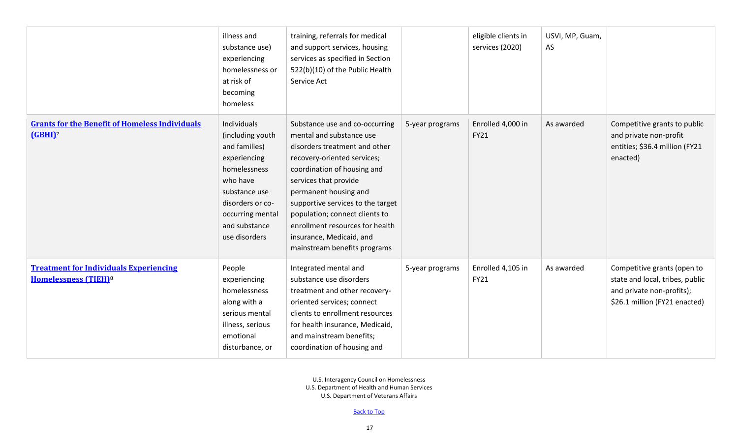|                                                                                         | illness and<br>substance use)<br>experiencing<br>homelessness or<br>at risk of<br>becoming<br>homeless                                                                                  | training, referrals for medical<br>and support services, housing<br>services as specified in Section<br>522(b)(10) of the Public Health<br>Service Act                                                                                                                                                                                                                            |                 | eligible clients in<br>services (2020) | USVI, MP, Guam,<br>AS |                                                                                                                              |
|-----------------------------------------------------------------------------------------|-----------------------------------------------------------------------------------------------------------------------------------------------------------------------------------------|-----------------------------------------------------------------------------------------------------------------------------------------------------------------------------------------------------------------------------------------------------------------------------------------------------------------------------------------------------------------------------------|-----------------|----------------------------------------|-----------------------|------------------------------------------------------------------------------------------------------------------------------|
| <b>Grants for the Benefit of Homeless Individuals</b><br>(GBHI) <sup>7</sup>            | Individuals<br>(including youth<br>and families)<br>experiencing<br>homelessness<br>who have<br>substance use<br>disorders or co-<br>occurring mental<br>and substance<br>use disorders | Substance use and co-occurring<br>mental and substance use<br>disorders treatment and other<br>recovery-oriented services;<br>coordination of housing and<br>services that provide<br>permanent housing and<br>supportive services to the target<br>population; connect clients to<br>enrollment resources for health<br>insurance, Medicaid, and<br>mainstream benefits programs | 5-year programs | Enrolled 4,000 in<br><b>FY21</b>       | As awarded            | Competitive grants to public<br>and private non-profit<br>entities; \$36.4 million (FY21<br>enacted)                         |
| <b>Treatment for Individuals Experiencing</b><br><b>Homelessness (TIEH)<sup>8</sup></b> | People<br>experiencing<br>homelessness<br>along with a<br>serious mental<br>illness, serious<br>emotional<br>disturbance, or                                                            | Integrated mental and<br>substance use disorders<br>treatment and other recovery-<br>oriented services; connect<br>clients to enrollment resources<br>for health insurance, Medicaid,<br>and mainstream benefits;<br>coordination of housing and                                                                                                                                  | 5-year programs | Enrolled 4,105 in<br><b>FY21</b>       | As awarded            | Competitive grants (open to<br>state and local, tribes, public<br>and private non-profits);<br>\$26.1 million (FY21 enacted) |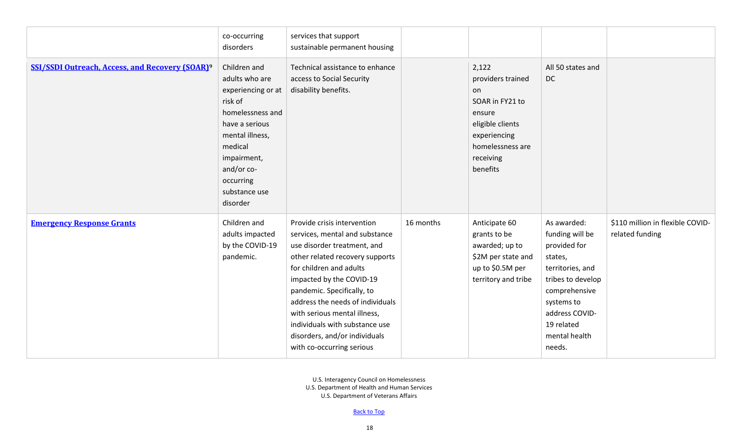|                                                                   | co-occurring<br>disorders                                                                                                                                                                                  | services that support<br>sustainable permanent housing                                                                                                                                                                                                                                                                                                                                   |           |                                                                                                                                                |                                                                                                                                                                                              |                                                     |
|-------------------------------------------------------------------|------------------------------------------------------------------------------------------------------------------------------------------------------------------------------------------------------------|------------------------------------------------------------------------------------------------------------------------------------------------------------------------------------------------------------------------------------------------------------------------------------------------------------------------------------------------------------------------------------------|-----------|------------------------------------------------------------------------------------------------------------------------------------------------|----------------------------------------------------------------------------------------------------------------------------------------------------------------------------------------------|-----------------------------------------------------|
| <b>SSI/SSDI Outreach, Access, and Recovery (SOAR)<sup>9</sup></b> | Children and<br>adults who are<br>experiencing or at<br>risk of<br>homelessness and<br>have a serious<br>mental illness,<br>medical<br>impairment,<br>and/or co-<br>occurring<br>substance use<br>disorder | Technical assistance to enhance<br>access to Social Security<br>disability benefits.                                                                                                                                                                                                                                                                                                     |           | 2,122<br>providers trained<br>on<br>SOAR in FY21 to<br>ensure<br>eligible clients<br>experiencing<br>homelessness are<br>receiving<br>benefits | All 50 states and<br><b>DC</b>                                                                                                                                                               |                                                     |
| <b>Emergency Response Grants</b>                                  | Children and<br>adults impacted<br>by the COVID-19<br>pandemic.                                                                                                                                            | Provide crisis intervention<br>services, mental and substance<br>use disorder treatment, and<br>other related recovery supports<br>for children and adults<br>impacted by the COVID-19<br>pandemic. Specifically, to<br>address the needs of individuals<br>with serious mental illness,<br>individuals with substance use<br>disorders, and/or individuals<br>with co-occurring serious | 16 months | Anticipate 60<br>grants to be<br>awarded; up to<br>\$2M per state and<br>up to \$0.5M per<br>territory and tribe                               | As awarded:<br>funding will be<br>provided for<br>states,<br>territories, and<br>tribes to develop<br>comprehensive<br>systems to<br>address COVID-<br>19 related<br>mental health<br>needs. | \$110 million in flexible COVID-<br>related funding |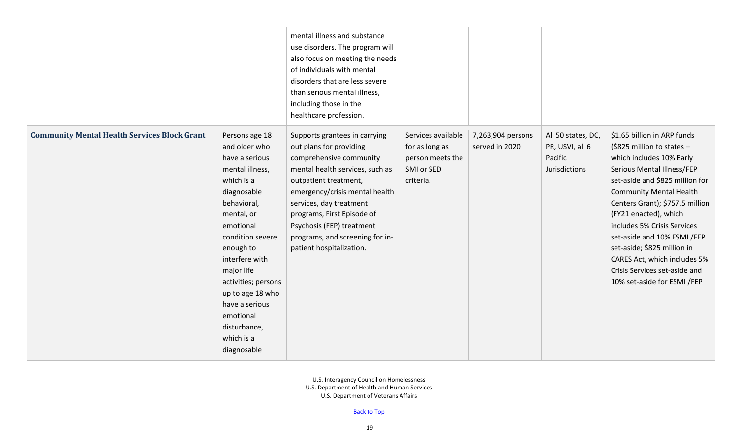|                                                     |                                                                                                                                                                                                                                                                                                                                     | mental illness and substance<br>use disorders. The program will<br>also focus on meeting the needs<br>of individuals with mental<br>disorders that are less severe<br>than serious mental illness,<br>including those in the<br>healthcare profession.                                                                                 |                                                                                     |                                     |                                                                   |                                                                                                                                                                                                                                                                                                                                                                                                                                                   |
|-----------------------------------------------------|-------------------------------------------------------------------------------------------------------------------------------------------------------------------------------------------------------------------------------------------------------------------------------------------------------------------------------------|----------------------------------------------------------------------------------------------------------------------------------------------------------------------------------------------------------------------------------------------------------------------------------------------------------------------------------------|-------------------------------------------------------------------------------------|-------------------------------------|-------------------------------------------------------------------|---------------------------------------------------------------------------------------------------------------------------------------------------------------------------------------------------------------------------------------------------------------------------------------------------------------------------------------------------------------------------------------------------------------------------------------------------|
| <b>Community Mental Health Services Block Grant</b> | Persons age 18<br>and older who<br>have a serious<br>mental illness,<br>which is a<br>diagnosable<br>behavioral,<br>mental, or<br>emotional<br>condition severe<br>enough to<br>interfere with<br>major life<br>activities; persons<br>up to age 18 who<br>have a serious<br>emotional<br>disturbance,<br>which is a<br>diagnosable | Supports grantees in carrying<br>out plans for providing<br>comprehensive community<br>mental health services, such as<br>outpatient treatment,<br>emergency/crisis mental health<br>services, day treatment<br>programs, First Episode of<br>Psychosis (FEP) treatment<br>programs, and screening for in-<br>patient hospitalization. | Services available<br>for as long as<br>person meets the<br>SMI or SED<br>criteria. | 7,263,904 persons<br>served in 2020 | All 50 states, DC,<br>PR, USVI, all 6<br>Pacific<br>Jurisdictions | \$1.65 billion in ARP funds<br>$$825$ million to states -<br>which includes 10% Early<br>Serious Mental Illness/FEP<br>set-aside and \$825 million for<br><b>Community Mental Health</b><br>Centers Grant); \$757.5 million<br>(FY21 enacted), which<br>includes 5% Crisis Services<br>set-aside and 10% ESMI /FEP<br>set-aside; \$825 million in<br>CARES Act, which includes 5%<br>Crisis Services set-aside and<br>10% set-aside for ESMI /FEP |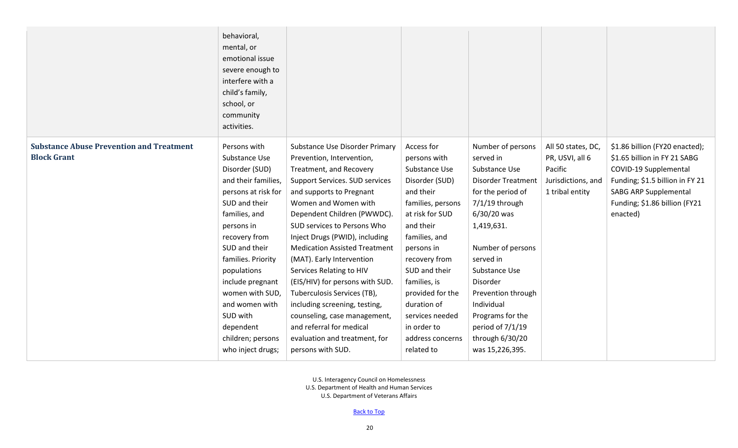|                                                                       | behavioral,<br>mental, or<br>emotional issue<br>severe enough to<br>interfere with a<br>child's family,<br>school, or<br>community<br>activities. |                                                             |                            |                                |                                       |                                                                |
|-----------------------------------------------------------------------|---------------------------------------------------------------------------------------------------------------------------------------------------|-------------------------------------------------------------|----------------------------|--------------------------------|---------------------------------------|----------------------------------------------------------------|
| <b>Substance Abuse Prevention and Treatment</b><br><b>Block Grant</b> | Persons with<br>Substance Use                                                                                                                     | Substance Use Disorder Primary<br>Prevention, Intervention, | Access for<br>persons with | Number of persons<br>served in | All 50 states, DC,<br>PR, USVI, all 6 | \$1.86 billion (FY20 enacted);<br>\$1.65 billion in FY 21 SABG |
|                                                                       | Disorder (SUD)                                                                                                                                    | Treatment, and Recovery                                     | Substance Use              | Substance Use                  | Pacific                               | COVID-19 Supplemental                                          |
|                                                                       | and their families,                                                                                                                               | Support Services. SUD services                              | Disorder (SUD)             | <b>Disorder Treatment</b>      | Jurisdictions, and                    | Funding; \$1.5 billion in FY 21                                |
|                                                                       | persons at risk for                                                                                                                               | and supports to Pregnant                                    | and their                  | for the period of              | 1 tribal entity                       | <b>SABG ARP Supplemental</b>                                   |
|                                                                       | SUD and their                                                                                                                                     | Women and Women with                                        | families, persons          | $7/1/19$ through               |                                       | Funding; \$1.86 billion (FY21                                  |
|                                                                       | families, and                                                                                                                                     | Dependent Children (PWWDC).                                 | at risk for SUD            | 6/30/20 was                    |                                       | enacted)                                                       |
|                                                                       | persons in                                                                                                                                        | SUD services to Persons Who                                 | and their                  | 1,419,631.                     |                                       |                                                                |
|                                                                       | recovery from                                                                                                                                     | Inject Drugs (PWID), including                              | families, and              |                                |                                       |                                                                |
|                                                                       | SUD and their                                                                                                                                     | <b>Medication Assisted Treatment</b>                        | persons in                 | Number of persons              |                                       |                                                                |
|                                                                       | families. Priority                                                                                                                                | (MAT). Early Intervention                                   | recovery from              | served in                      |                                       |                                                                |
|                                                                       | populations                                                                                                                                       | Services Relating to HIV                                    | SUD and their              | Substance Use                  |                                       |                                                                |
|                                                                       | include pregnant                                                                                                                                  | (EIS/HIV) for persons with SUD.                             | families, is               | Disorder                       |                                       |                                                                |
|                                                                       | women with SUD,                                                                                                                                   | Tuberculosis Services (TB),                                 | provided for the           | Prevention through             |                                       |                                                                |
|                                                                       | and women with                                                                                                                                    | including screening, testing,                               | duration of                | Individual                     |                                       |                                                                |
|                                                                       | SUD with                                                                                                                                          | counseling, case management,                                | services needed            | Programs for the               |                                       |                                                                |
|                                                                       | dependent                                                                                                                                         | and referral for medical                                    | in order to                | period of 7/1/19               |                                       |                                                                |
|                                                                       | children; persons                                                                                                                                 | evaluation and treatment, for                               | address concerns           | through 6/30/20                |                                       |                                                                |
|                                                                       | who inject drugs;                                                                                                                                 | persons with SUD.                                           | related to                 | was 15,226,395.                |                                       |                                                                |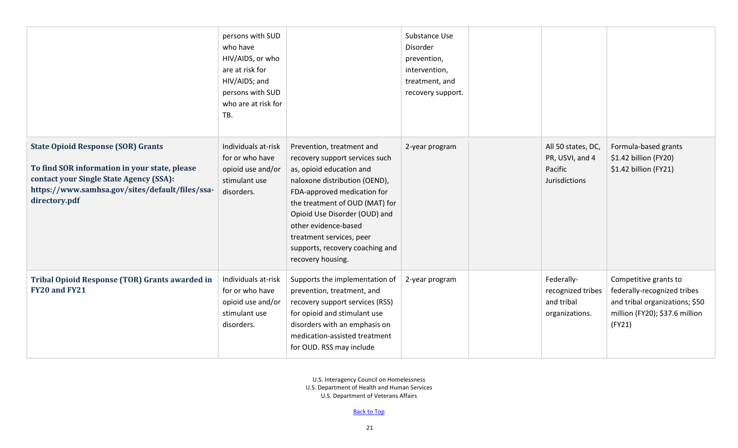|                                                                                                                                                                                                           | persons with SUD<br>who have<br>HIV/AIDS, or who<br>are at risk for<br>HIV/AIDS; and<br>persons with SUD<br>who are at risk for<br>TB. |                                                                                                                                                                                                                                                                                                                                        | Substance Use<br>Disorder<br>prevention,<br>intervention,<br>treatment, and<br>recovery support. |                                                                   |                                                                                                                                    |
|-----------------------------------------------------------------------------------------------------------------------------------------------------------------------------------------------------------|----------------------------------------------------------------------------------------------------------------------------------------|----------------------------------------------------------------------------------------------------------------------------------------------------------------------------------------------------------------------------------------------------------------------------------------------------------------------------------------|--------------------------------------------------------------------------------------------------|-------------------------------------------------------------------|------------------------------------------------------------------------------------------------------------------------------------|
| <b>State Opioid Response (SOR) Grants</b><br>To find SOR information in your state, please<br>contact your Single State Agency (SSA):<br>https://www.samhsa.gov/sites/default/files/ssa-<br>directory.pdf | Individuals at-risk<br>for or who have<br>opioid use and/or<br>stimulant use<br>disorders.                                             | Prevention, treatment and<br>recovery support services such<br>as, opioid education and<br>naloxone distribution (OEND),<br>FDA-approved medication for<br>the treatment of OUD (MAT) for<br>Opioid Use Disorder (OUD) and<br>other evidence-based<br>treatment services, peer<br>supports, recovery coaching and<br>recovery housing. | 2-year program                                                                                   | All 50 states, DC,<br>PR, USVI, and 4<br>Pacific<br>Jurisdictions | Formula-based grants<br>\$1.42 billion (FY20)<br>\$1.42 billion (FY21)                                                             |
| <b>Tribal Opioid Response (TOR) Grants awarded in</b><br>FY20 and FY21                                                                                                                                    | Individuals at-risk<br>for or who have<br>opioid use and/or<br>stimulant use<br>disorders.                                             | Supports the implementation of<br>prevention, treatment, and<br>recovery support services (RSS)<br>for opioid and stimulant use<br>disorders with an emphasis on<br>medication-assisted treatment<br>for OUD. RSS may include                                                                                                          | 2-year program                                                                                   | Federally-<br>recognized tribes<br>and tribal<br>organizations.   | Competitive grants to<br>federally-recognized tribes<br>and tribal organizations; \$50<br>million (FY20); \$37.6 million<br>(FY21) |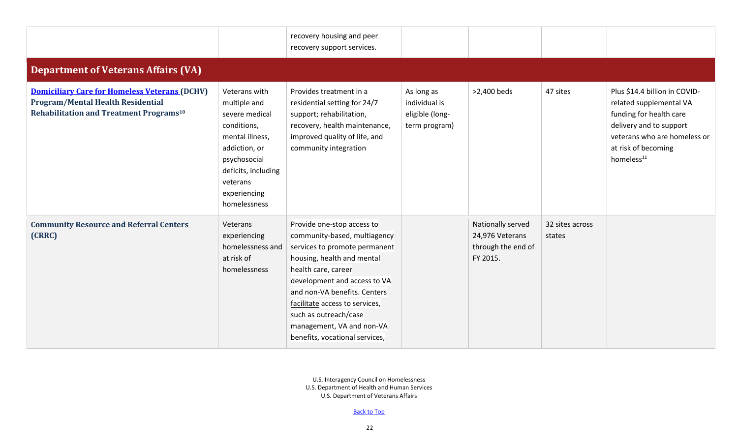<span id="page-21-0"></span>

|                                                                                                                                                  |                                                                                                                                                                                       | recovery housing and peer<br>recovery support services.                                                                                                                                                                                                                                                                                    |                                                                 |                                                                        |                           |                                                                                                                                                                                                 |
|--------------------------------------------------------------------------------------------------------------------------------------------------|---------------------------------------------------------------------------------------------------------------------------------------------------------------------------------------|--------------------------------------------------------------------------------------------------------------------------------------------------------------------------------------------------------------------------------------------------------------------------------------------------------------------------------------------|-----------------------------------------------------------------|------------------------------------------------------------------------|---------------------------|-------------------------------------------------------------------------------------------------------------------------------------------------------------------------------------------------|
| <b>Department of Veterans Affairs (VA)</b>                                                                                                       |                                                                                                                                                                                       |                                                                                                                                                                                                                                                                                                                                            |                                                                 |                                                                        |                           |                                                                                                                                                                                                 |
| <b>Domiciliary Care for Homeless Veterans (DCHV)</b><br>Program/Mental Health Residential<br>Rehabilitation and Treatment Programs <sup>10</sup> | Veterans with<br>multiple and<br>severe medical<br>conditions,<br>mental illness,<br>addiction, or<br>psychosocial<br>deficits, including<br>veterans<br>experiencing<br>homelessness | Provides treatment in a<br>residential setting for 24/7<br>support; rehabilitation,<br>recovery, health maintenance,<br>improved quality of life, and<br>community integration                                                                                                                                                             | As long as<br>individual is<br>eligible (long-<br>term program) | >2,400 beds                                                            | 47 sites                  | Plus \$14.4 billion in COVID-<br>related supplemental VA<br>funding for health care<br>delivery and to support<br>veterans who are homeless or<br>at risk of becoming<br>homeless <sup>11</sup> |
| <b>Community Resource and Referral Centers</b><br>(CRRC)                                                                                         | Veterans<br>experiencing<br>homelessness and<br>at risk of<br>homelessness                                                                                                            | Provide one-stop access to<br>community-based, multiagency<br>services to promote permanent<br>housing, health and mental<br>health care, career<br>development and access to VA<br>and non-VA benefits. Centers<br>facilitate access to services,<br>such as outreach/case<br>management, VA and non-VA<br>benefits, vocational services, |                                                                 | Nationally served<br>24,976 Veterans<br>through the end of<br>FY 2015. | 32 sites across<br>states |                                                                                                                                                                                                 |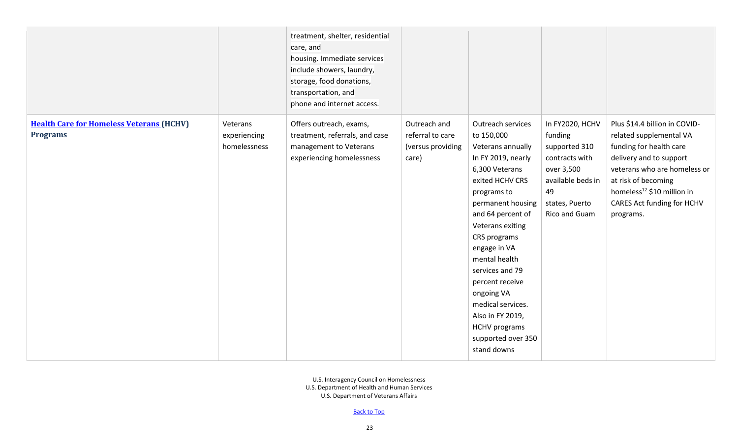|                                                                    |                                          | treatment, shelter, residential<br>care, and<br>housing. Immediate services<br>include showers, laundry,<br>storage, food donations,<br>transportation, and<br>phone and internet access. |                                                                |                                                                                                                                                                                                                                                                                                                                                                                                         |                                                                                                                                           |                                                                                                                                                                                                                                                            |
|--------------------------------------------------------------------|------------------------------------------|-------------------------------------------------------------------------------------------------------------------------------------------------------------------------------------------|----------------------------------------------------------------|---------------------------------------------------------------------------------------------------------------------------------------------------------------------------------------------------------------------------------------------------------------------------------------------------------------------------------------------------------------------------------------------------------|-------------------------------------------------------------------------------------------------------------------------------------------|------------------------------------------------------------------------------------------------------------------------------------------------------------------------------------------------------------------------------------------------------------|
| <b>Health Care for Homeless Veterans (HCHV)</b><br><b>Programs</b> | Veterans<br>experiencing<br>homelessness | Offers outreach, exams,<br>treatment, referrals, and case<br>management to Veterans<br>experiencing homelessness                                                                          | Outreach and<br>referral to care<br>(versus providing<br>care) | Outreach services<br>to 150,000<br>Veterans annually<br>In FY 2019, nearly<br>6,300 Veterans<br>exited HCHV CRS<br>programs to<br>permanent housing<br>and 64 percent of<br>Veterans exiting<br>CRS programs<br>engage in VA<br>mental health<br>services and 79<br>percent receive<br>ongoing VA<br>medical services.<br>Also in FY 2019,<br><b>HCHV</b> programs<br>supported over 350<br>stand downs | In FY2020, HCHV<br>funding<br>supported 310<br>contracts with<br>over 3,500<br>available beds in<br>49<br>states, Puerto<br>Rico and Guam | Plus \$14.4 billion in COVID-<br>related supplemental VA<br>funding for health care<br>delivery and to support<br>veterans who are homeless or<br>at risk of becoming<br>homeless <sup>12</sup> \$10 million in<br>CARES Act funding for HCHV<br>programs. |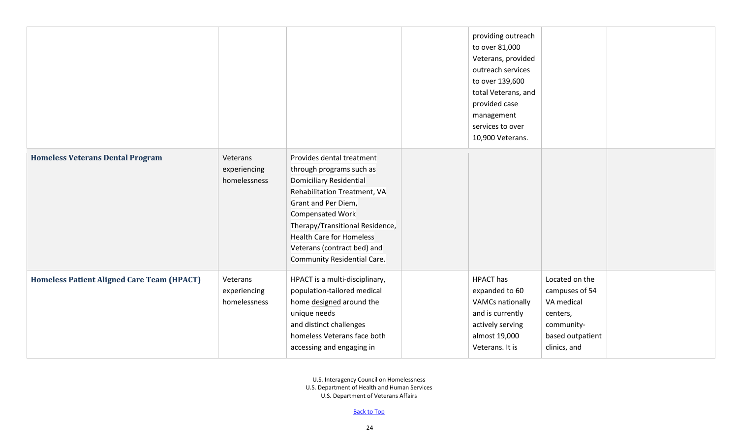|                                                   |                                          |                                                                                                                                                                                                                                                                                                                      | providing outreach<br>to over 81,000<br>Veterans, provided<br>outreach services<br>to over 139,600<br>total Veterans, and<br>provided case<br>management<br>services to over<br>10,900 Veterans. |                                                                                                              |  |
|---------------------------------------------------|------------------------------------------|----------------------------------------------------------------------------------------------------------------------------------------------------------------------------------------------------------------------------------------------------------------------------------------------------------------------|--------------------------------------------------------------------------------------------------------------------------------------------------------------------------------------------------|--------------------------------------------------------------------------------------------------------------|--|
| <b>Homeless Veterans Dental Program</b>           | Veterans<br>experiencing<br>homelessness | Provides dental treatment<br>through programs such as<br><b>Domiciliary Residential</b><br>Rehabilitation Treatment, VA<br>Grant and Per Diem,<br><b>Compensated Work</b><br>Therapy/Transitional Residence,<br><b>Health Care for Homeless</b><br>Veterans (contract bed) and<br><b>Community Residential Care.</b> |                                                                                                                                                                                                  |                                                                                                              |  |
| <b>Homeless Patient Aligned Care Team (HPACT)</b> | Veterans<br>experiencing<br>homelessness | HPACT is a multi-disciplinary,<br>population-tailored medical<br>home designed around the<br>unique needs<br>and distinct challenges<br>homeless Veterans face both<br>accessing and engaging in                                                                                                                     | <b>HPACT</b> has<br>expanded to 60<br><b>VAMCs nationally</b><br>and is currently<br>actively serving<br>almost 19,000<br>Veterans. It is                                                        | Located on the<br>campuses of 54<br>VA medical<br>centers,<br>community-<br>based outpatient<br>clinics, and |  |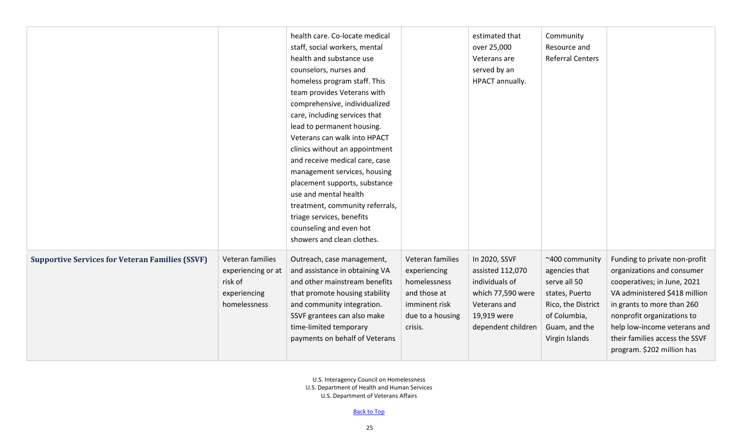|                                                        |                                                                                   | health care. Co-locate medical<br>staff, social workers, mental<br>health and substance use<br>counselors, nurses and<br>homeless program staff. This<br>team provides Veterans with<br>comprehensive, individualized<br>care, including services that<br>lead to permanent housing.<br>Veterans can walk into HPACT<br>clinics without an appointment<br>and receive medical care, case<br>management services, housing<br>placement supports, substance<br>use and mental health<br>treatment, community referrals,<br>triage services, benefits<br>counseling and even hot<br>showers and clean clothes. |                                                                                                                  | estimated that<br>over 25,000<br>Veterans are<br>served by an<br>HPACT annually.                                              | Community<br>Resource and<br><b>Referral Centers</b>                                                                                       |                                                                                                                                                                                                                                                                                         |
|--------------------------------------------------------|-----------------------------------------------------------------------------------|-------------------------------------------------------------------------------------------------------------------------------------------------------------------------------------------------------------------------------------------------------------------------------------------------------------------------------------------------------------------------------------------------------------------------------------------------------------------------------------------------------------------------------------------------------------------------------------------------------------|------------------------------------------------------------------------------------------------------------------|-------------------------------------------------------------------------------------------------------------------------------|--------------------------------------------------------------------------------------------------------------------------------------------|-----------------------------------------------------------------------------------------------------------------------------------------------------------------------------------------------------------------------------------------------------------------------------------------|
| <b>Supportive Services for Veteran Families (SSVF)</b> | Veteran families<br>experiencing or at<br>risk of<br>experiencing<br>homelessness | Outreach, case management,<br>and assistance in obtaining VA<br>and other mainstream benefits<br>that promote housing stability<br>and community integration.<br>SSVF grantees can also make<br>time-limited temporary<br>payments on behalf of Veterans                                                                                                                                                                                                                                                                                                                                                    | Veteran families<br>experiencing<br>homelessness<br>and those at<br>imminent risk<br>due to a housing<br>crisis. | In 2020, SSVF<br>assisted 112,070<br>individuals of<br>which 77,590 were<br>Veterans and<br>19,919 were<br>dependent children | ~400 community<br>agencies that<br>serve all 50<br>states, Puerto<br>Rico, the District<br>of Columbia,<br>Guam, and the<br>Virgin Islands | Funding to private non-profit<br>organizations and consumer<br>cooperatives; in June, 2021<br>VA administered \$418 million<br>in grants to more than 260<br>nonprofit organizations to<br>help low-income veterans and<br>their families access the SSVF<br>program. \$202 million has |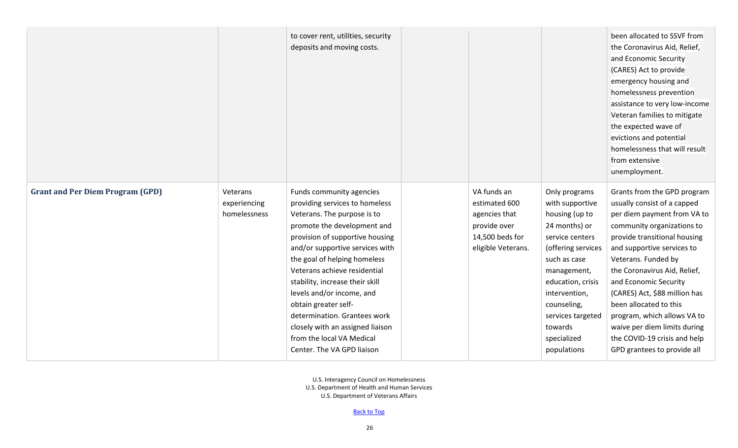|                                         |                                          | to cover rent, utilities, security<br>deposits and moving costs.                                                                                                                                                                                                                                                                                                                                                                                                                      |                                                                                                        |                                                                                                                                                                                                                                                                | been allocated to SSVF from<br>the Coronavirus Aid, Relief,<br>and Economic Security<br>(CARES) Act to provide<br>emergency housing and<br>homelessness prevention<br>assistance to very low-income<br>Veteran families to mitigate<br>the expected wave of<br>evictions and potential<br>homelessness that will result<br>from extensive<br>unemployment.                                                                                                     |
|-----------------------------------------|------------------------------------------|---------------------------------------------------------------------------------------------------------------------------------------------------------------------------------------------------------------------------------------------------------------------------------------------------------------------------------------------------------------------------------------------------------------------------------------------------------------------------------------|--------------------------------------------------------------------------------------------------------|----------------------------------------------------------------------------------------------------------------------------------------------------------------------------------------------------------------------------------------------------------------|----------------------------------------------------------------------------------------------------------------------------------------------------------------------------------------------------------------------------------------------------------------------------------------------------------------------------------------------------------------------------------------------------------------------------------------------------------------|
| <b>Grant and Per Diem Program (GPD)</b> | Veterans<br>experiencing<br>homelessness | Funds community agencies<br>providing services to homeless<br>Veterans. The purpose is to<br>promote the development and<br>provision of supportive housing<br>and/or supportive services with<br>the goal of helping homeless<br>Veterans achieve residential<br>stability, increase their skill<br>levels and/or income, and<br>obtain greater self-<br>determination. Grantees work<br>closely with an assigned liaison<br>from the local VA Medical<br>Center. The VA GPD liaison | VA funds an<br>estimated 600<br>agencies that<br>provide over<br>14,500 beds for<br>eligible Veterans. | Only programs<br>with supportive<br>housing (up to<br>24 months) or<br>service centers<br>(offering services<br>such as case<br>management,<br>education, crisis<br>intervention,<br>counseling,<br>services targeted<br>towards<br>specialized<br>populations | Grants from the GPD program<br>usually consist of a capped<br>per diem payment from VA to<br>community organizations to<br>provide transitional housing<br>and supportive services to<br>Veterans. Funded by<br>the Coronavirus Aid, Relief,<br>and Economic Security<br>(CARES) Act, \$88 million has<br>been allocated to this<br>program, which allows VA to<br>waive per diem limits during<br>the COVID-19 crisis and help<br>GPD grantees to provide all |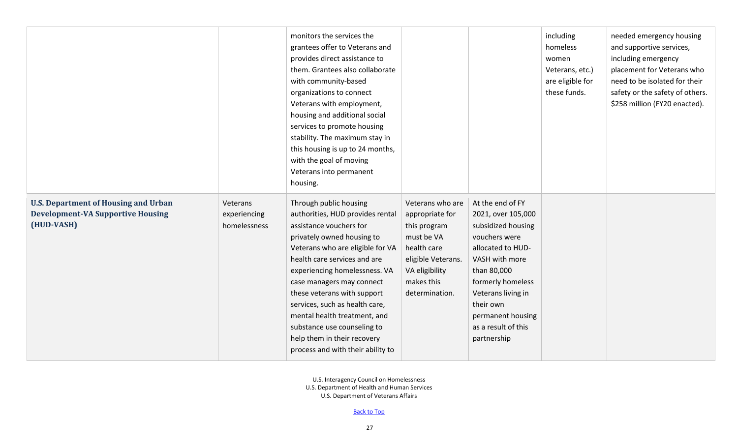|                                                                                                       |                                          | monitors the services the<br>grantees offer to Veterans and<br>provides direct assistance to<br>them. Grantees also collaborate<br>with community-based<br>organizations to connect<br>Veterans with employment,<br>housing and additional social<br>services to promote housing<br>stability. The maximum stay in<br>this housing is up to 24 months,<br>with the goal of moving<br>Veterans into permanent<br>housing.                                  |                                                                                                                                                          |                                                                                                                                                                                                                                                        | including<br>homeless<br>women<br>Veterans, etc.)<br>are eligible for<br>these funds. | needed emergency housing<br>and supportive services,<br>including emergency<br>placement for Veterans who<br>need to be isolated for their<br>safety or the safety of others.<br>\$258 million (FY20 enacted). |
|-------------------------------------------------------------------------------------------------------|------------------------------------------|-----------------------------------------------------------------------------------------------------------------------------------------------------------------------------------------------------------------------------------------------------------------------------------------------------------------------------------------------------------------------------------------------------------------------------------------------------------|----------------------------------------------------------------------------------------------------------------------------------------------------------|--------------------------------------------------------------------------------------------------------------------------------------------------------------------------------------------------------------------------------------------------------|---------------------------------------------------------------------------------------|----------------------------------------------------------------------------------------------------------------------------------------------------------------------------------------------------------------|
| <b>U.S. Department of Housing and Urban</b><br><b>Development-VA Supportive Housing</b><br>(HUD-VASH) | Veterans<br>experiencing<br>homelessness | Through public housing<br>authorities, HUD provides rental<br>assistance vouchers for<br>privately owned housing to<br>Veterans who are eligible for VA<br>health care services and are<br>experiencing homelessness. VA<br>case managers may connect<br>these veterans with support<br>services, such as health care,<br>mental health treatment, and<br>substance use counseling to<br>help them in their recovery<br>process and with their ability to | Veterans who are<br>appropriate for<br>this program<br>must be VA<br>health care<br>eligible Veterans.<br>VA eligibility<br>makes this<br>determination. | At the end of FY<br>2021, over 105,000<br>subsidized housing<br>vouchers were<br>allocated to HUD-<br>VASH with more<br>than 80,000<br>formerly homeless<br>Veterans living in<br>their own<br>permanent housing<br>as a result of this<br>partnership |                                                                                       |                                                                                                                                                                                                                |